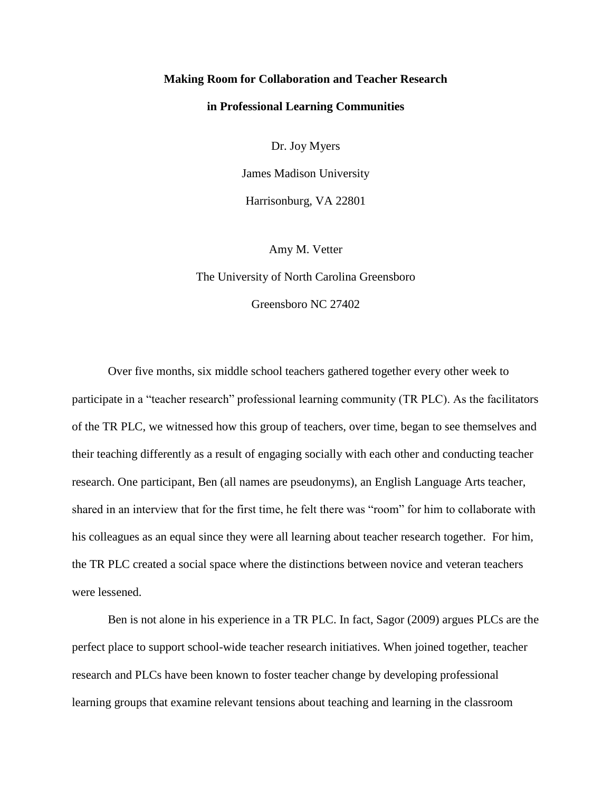### **Making Room for Collaboration and Teacher Research**

### **in Professional Learning Communities**

Dr. Joy Myers

James Madison University Harrisonburg, VA 22801

Amy M. Vetter

The University of North Carolina Greensboro

Greensboro NC 27402

Over five months, six middle school teachers gathered together every other week to participate in a "teacher research" professional learning community (TR PLC). As the facilitators of the TR PLC, we witnessed how this group of teachers, over time, began to see themselves and their teaching differently as a result of engaging socially with each other and conducting teacher research. One participant, Ben (all names are pseudonyms), an English Language Arts teacher, shared in an interview that for the first time, he felt there was "room" for him to collaborate with his colleagues as an equal since they were all learning about teacher research together. For him, the TR PLC created a social space where the distinctions between novice and veteran teachers were lessened.

Ben is not alone in his experience in a TR PLC. In fact, Sagor (2009) argues PLCs are the perfect place to support school-wide teacher research initiatives. When joined together, teacher research and PLCs have been known to foster teacher change by developing professional learning groups that examine relevant tensions about teaching and learning in the classroom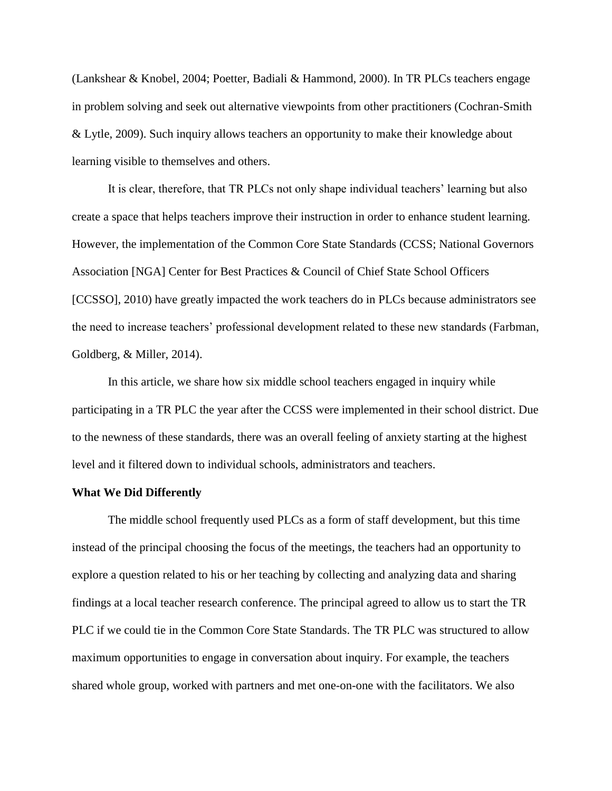(Lankshear & Knobel, 2004; Poetter, Badiali & Hammond, 2000). In TR PLCs teachers engage in problem solving and seek out alternative viewpoints from other practitioners (Cochran-Smith & Lytle, 2009). Such inquiry allows teachers an opportunity to make their knowledge about learning visible to themselves and others.

It is clear, therefore, that TR PLCs not only shape individual teachers' learning but also create a space that helps teachers improve their instruction in order to enhance student learning. However, the implementation of the Common Core State Standards (CCSS; National Governors Association [NGA] Center for Best Practices & Council of Chief State School Officers [CCSSO], 2010) have greatly impacted the work teachers do in PLCs because administrators see the need to increase teachers' professional development related to these new standards (Farbman, Goldberg, & Miller, 2014).

In this article, we share how six middle school teachers engaged in inquiry while participating in a TR PLC the year after the CCSS were implemented in their school district. Due to the newness of these standards, there was an overall feeling of anxiety starting at the highest level and it filtered down to individual schools, administrators and teachers.

### **What We Did Differently**

The middle school frequently used PLCs as a form of staff development, but this time instead of the principal choosing the focus of the meetings, the teachers had an opportunity to explore a question related to his or her teaching by collecting and analyzing data and sharing findings at a local teacher research conference. The principal agreed to allow us to start the TR PLC if we could tie in the Common Core State Standards. The TR PLC was structured to allow maximum opportunities to engage in conversation about inquiry. For example, the teachers shared whole group, worked with partners and met one-on-one with the facilitators. We also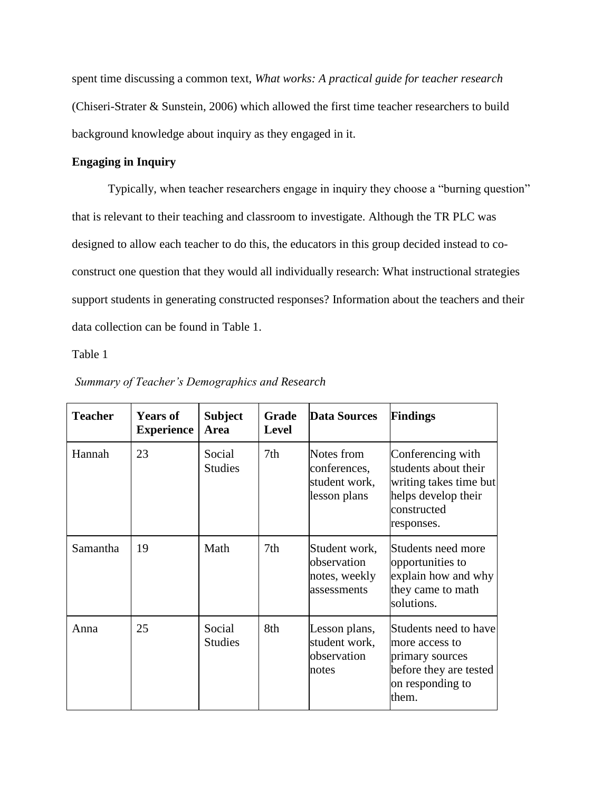spent time discussing a common text, *What works: A practical guide for teacher research* (Chiseri-Strater & Sunstein, 2006) which allowed the first time teacher researchers to build background knowledge about inquiry as they engaged in it.

## **Engaging in Inquiry**

Typically, when teacher researchers engage in inquiry they choose a "burning question" that is relevant to their teaching and classroom to investigate. Although the TR PLC was designed to allow each teacher to do this, the educators in this group decided instead to coconstruct one question that they would all individually research: What instructional strategies support students in generating constructed responses? Information about the teachers and their data collection can be found in Table 1.

Table 1

| <b>Teacher</b> | <b>Years of</b><br><b>Experience</b> | <b>Subject</b><br>Area   | Grade<br><b>Level</b> | <b>Data Sources</b>                                           | Findings                                                                                                                |
|----------------|--------------------------------------|--------------------------|-----------------------|---------------------------------------------------------------|-------------------------------------------------------------------------------------------------------------------------|
| Hannah         | 23                                   | Social<br><b>Studies</b> | 7th                   | Notes from<br>conferences,<br>student work,<br>lesson plans   | Conferencing with<br>students about their<br>writing takes time but<br>helps develop their<br>constructed<br>responses. |
| Samantha       | 19                                   | Math                     | 7th                   | Student work,<br>observation<br>notes, weekly<br>lassessments | Students need more<br>opportunities to<br>explain how and why<br>they came to math<br>solutions.                        |
| Anna           | 25                                   | Social<br><b>Studies</b> | 8th                   | Lesson plans,<br>student work,<br>observation<br>notes        | Students need to have<br>more access to<br>primary sources<br>before they are tested<br>on responding to<br>them.       |

### *Summary of Teacher's Demographics and Research*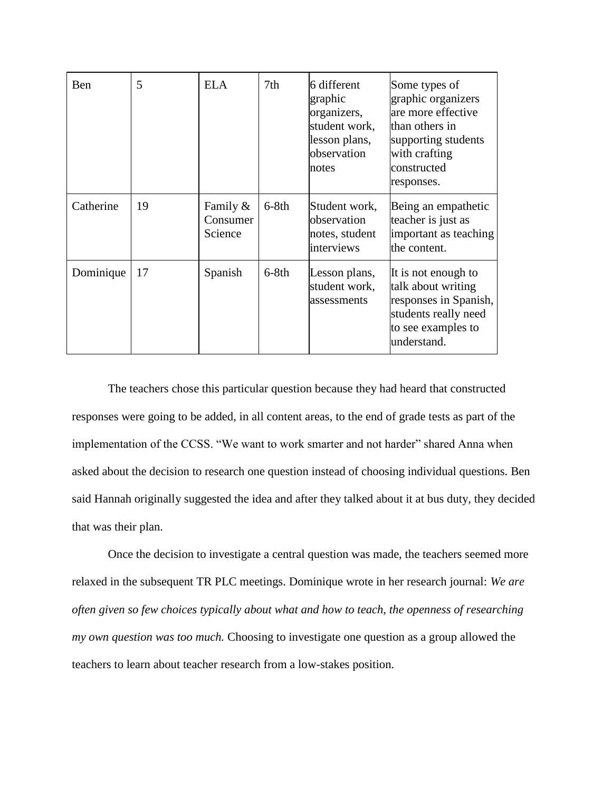| Ben       | 5  | <b>ELA</b>                         | 7th     | 6 different<br>graphic<br>organizers,<br>student work,<br>lesson plans,<br>observation<br>notes | Some types of<br>graphic organizers<br>are more effective<br>than others in<br>supporting students<br>with crafting<br>constructed<br>responses. |
|-----------|----|------------------------------------|---------|-------------------------------------------------------------------------------------------------|--------------------------------------------------------------------------------------------------------------------------------------------------|
| Catherine | 19 | Family $\&$<br>Consumer<br>Science | $6-8th$ | Student work,<br>observation<br>notes, student<br>interviews                                    | Being an empathetic<br>teacher is just as<br>important as teaching<br>the content.                                                               |
| Dominique | 17 | Spanish                            | $6-8th$ | Lesson plans,<br>student work,<br>assessments                                                   | It is not enough to<br>talk about writing<br>responses in Spanish,<br>students really need<br>to see examples to<br>understand.                  |

The teachers chose this particular question because they had heard that constructed responses were going to be added, in all content areas, to the end of grade tests as part of the implementation of the CCSS. "We want to work smarter and not harder" shared Anna when asked about the decision to research one question instead of choosing individual questions. Ben said Hannah originally suggested the idea and after they talked about it at bus duty, they decided that was their plan.

Once the decision to investigate a central question was made, the teachers seemed more relaxed in the subsequent TR PLC meetings. Dominique wrote in her research journal: *We are often given so few choices typically about what and how to teach, the openness of researching my own question was too much.* Choosing to investigate one question as a group allowed the teachers to learn about teacher research from a low-stakes position.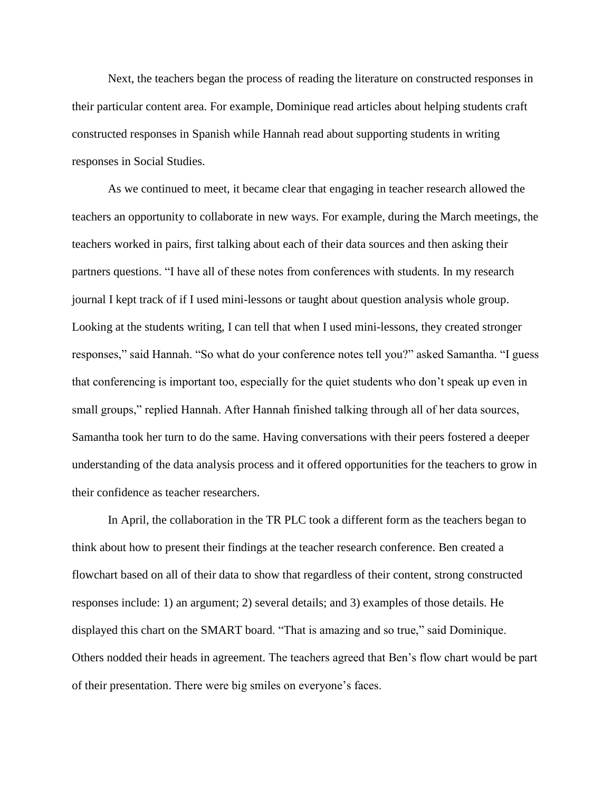Next, the teachers began the process of reading the literature on constructed responses in their particular content area. For example, Dominique read articles about helping students craft constructed responses in Spanish while Hannah read about supporting students in writing responses in Social Studies.

As we continued to meet, it became clear that engaging in teacher research allowed the teachers an opportunity to collaborate in new ways. For example, during the March meetings, the teachers worked in pairs, first talking about each of their data sources and then asking their partners questions. "I have all of these notes from conferences with students. In my research journal I kept track of if I used mini-lessons or taught about question analysis whole group. Looking at the students writing, I can tell that when I used mini-lessons, they created stronger responses," said Hannah. "So what do your conference notes tell you?" asked Samantha. "I guess that conferencing is important too, especially for the quiet students who don't speak up even in small groups," replied Hannah. After Hannah finished talking through all of her data sources, Samantha took her turn to do the same. Having conversations with their peers fostered a deeper understanding of the data analysis process and it offered opportunities for the teachers to grow in their confidence as teacher researchers.

In April, the collaboration in the TR PLC took a different form as the teachers began to think about how to present their findings at the teacher research conference. Ben created a flowchart based on all of their data to show that regardless of their content, strong constructed responses include: 1) an argument; 2) several details; and 3) examples of those details. He displayed this chart on the SMART board. "That is amazing and so true," said Dominique. Others nodded their heads in agreement. The teachers agreed that Ben's flow chart would be part of their presentation. There were big smiles on everyone's faces.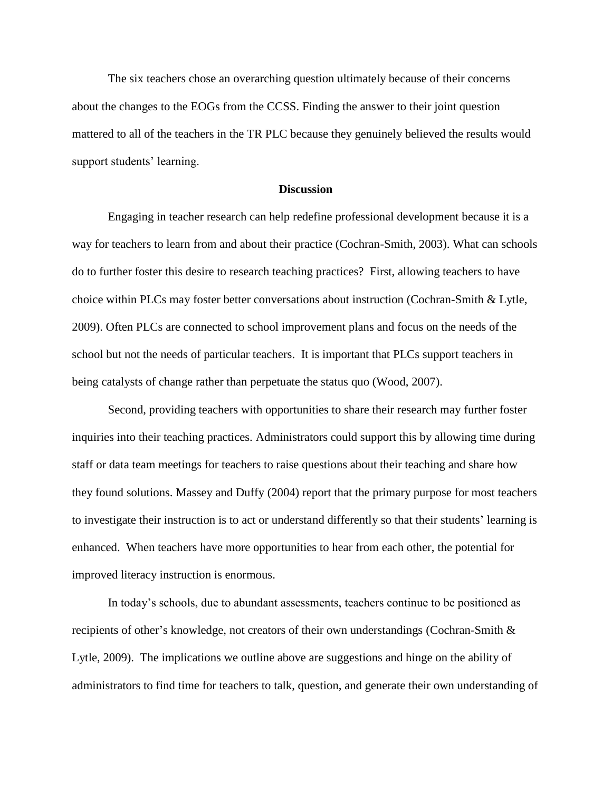The six teachers chose an overarching question ultimately because of their concerns about the changes to the EOGs from the CCSS. Finding the answer to their joint question mattered to all of the teachers in the TR PLC because they genuinely believed the results would support students' learning.

#### **Discussion**

Engaging in teacher research can help redefine professional development because it is a way for teachers to learn from and about their practice (Cochran-Smith, 2003). What can schools do to further foster this desire to research teaching practices? First, allowing teachers to have choice within PLCs may foster better conversations about instruction (Cochran-Smith & Lytle, 2009). Often PLCs are connected to school improvement plans and focus on the needs of the school but not the needs of particular teachers. It is important that PLCs support teachers in being catalysts of change rather than perpetuate the status quo (Wood, 2007).

Second, providing teachers with opportunities to share their research may further foster inquiries into their teaching practices. Administrators could support this by allowing time during staff or data team meetings for teachers to raise questions about their teaching and share how they found solutions. Massey and Duffy (2004) report that the primary purpose for most teachers to investigate their instruction is to act or understand differently so that their students' learning is enhanced. When teachers have more opportunities to hear from each other, the potential for improved literacy instruction is enormous.

In today's schools, due to abundant assessments, teachers continue to be positioned as recipients of other's knowledge, not creators of their own understandings (Cochran-Smith & Lytle, 2009). The implications we outline above are suggestions and hinge on the ability of administrators to find time for teachers to talk, question, and generate their own understanding of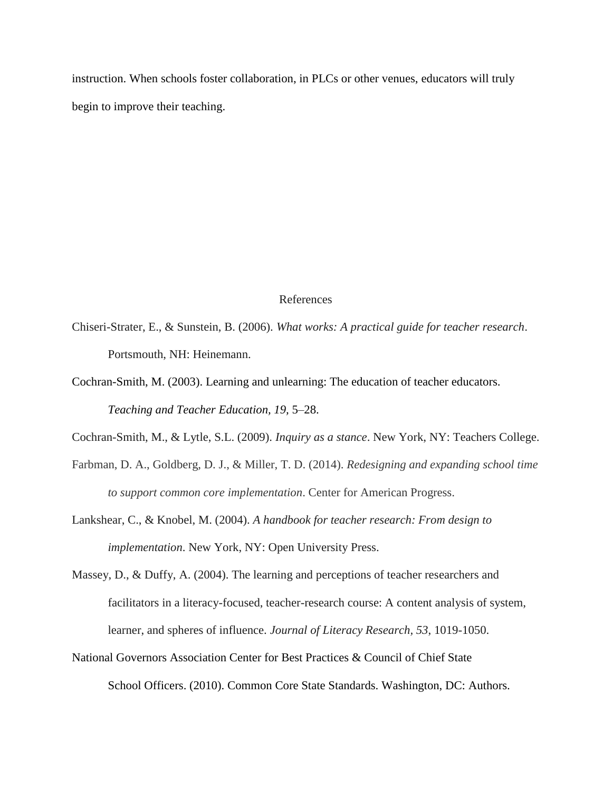instruction. When schools foster collaboration, in PLCs or other venues, educators will truly begin to improve their teaching.

# References

- Chiseri-Strater, E., & Sunstein, B. (2006). *What works: A practical guide for teacher research*. Portsmouth, NH: Heinemann.
- Cochran-Smith, M. (2003). Learning and unlearning: The education of teacher educators. *Teaching and Teacher Education, 19,* 5–28.
- Cochran-Smith, M., & Lytle, S.L. (2009). *Inquiry as a stance*. New York, NY: Teachers College.
- Farbman, D. A., Goldberg, D. J., & Miller, T. D. (2014). *Redesigning and expanding school time to support common core implementation*. Center for American Progress.
- Lankshear, C., & Knobel, M. (2004). *A handbook for teacher research: From design to implementation*. New York, NY: Open University Press.
- Massey, D., & Duffy, A. (2004). The learning and perceptions of teacher researchers and facilitators in a literacy-focused, teacher-research course: A content analysis of system, learner, and spheres of influence. *Journal of Literacy Research, 53*, 1019-1050.
- National Governors Association Center for Best Practices & Council of Chief State School Officers. (2010). Common Core State Standards. Washington, DC: Authors.